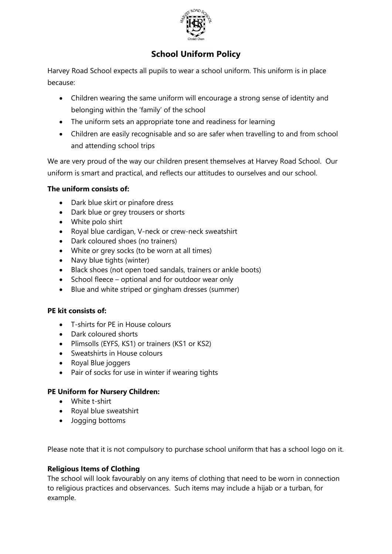

# **School Uniform Policy**

Harvey Road School expects all pupils to wear a school uniform. This uniform is in place because:

- Children wearing the same uniform will encourage a strong sense of identity and belonging within the 'family' of the school
- The uniform sets an appropriate tone and readiness for learning
- Children are easily recognisable and so are safer when travelling to and from school and attending school trips

We are very proud of the way our children present themselves at Harvey Road School. Our uniform is smart and practical, and reflects our attitudes to ourselves and our school.

#### **The uniform consists of:**

- Dark blue skirt or pinafore dress
- Dark blue or grey trousers or shorts
- White polo shirt
- Royal blue cardigan, V-neck or crew-neck sweatshirt
- Dark coloured shoes (no trainers)
- White or grey socks (to be worn at all times)
- Navy blue tights (winter)
- Black shoes (not open toed sandals, trainers or ankle boots)
- School fleece optional and for outdoor wear only
- Blue and white striped or gingham dresses (summer)

## **PE kit consists of:**

- T-shirts for PE in House colours
- Dark coloured shorts
- Plimsolls (EYFS, KS1) or trainers (KS1 or KS2)
- Sweatshirts in House colours
- Royal Blue joggers
- Pair of socks for use in winter if wearing tights

## **PE Uniform for Nursery Children:**

- White t-shirt
- Royal blue sweatshirt
- Jogging bottoms

Please note that it is not compulsory to purchase school uniform that has a school logo on it.

## **Religious Items of Clothing**

The school will look favourably on any items of clothing that need to be worn in connection to religious practices and observances. Such items may include a hijab or a turban, for example.